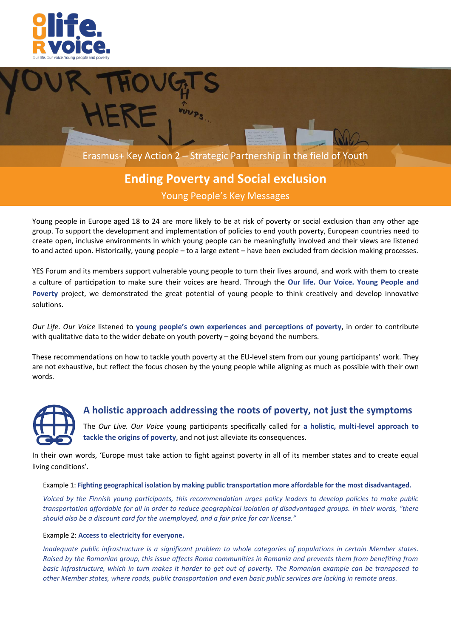



# **Ending Poverty and Social exclusion**

Young People's Key Messages

Young people in Europe aged 18 to 24 are more likely to be at risk of poverty or social exclusion than any other age group. To support the development and implementation of policies to end youth poverty, European countries need to create open, inclusive environments in which young people can be meaningfully involved and their views are listened to and acted upon. Historically, young people – to a large extent – have been excluded from decision making processes.

YES Forum and its members support vulnerable young people to turn their lives around, and work with them to create a culture of participation to make sure their voices are heard. Through the **Our life. Our Voice. Young People and Poverty** project, we demonstrated the great potential of young people to think creatively and develop innovative solutions.

*Our Life. Our Voice* listened to **young people's own experiences and perceptions of poverty**, in order to contribute with qualitative data to the wider debate on youth poverty – going beyond the numbers.

These recommendations on how to tackle youth poverty at the EU-level stem from our young participants' work. They are not exhaustive, but reflect the focus chosen by the young people while aligning as much as possible with their own words.



## **A holistic approach addressing the roots of poverty, not just the symptoms**

The *Our Live. Our Voice* young participants specifically called for **a holistic, multi-level approach to tackle the origins of poverty**, and not just alleviate its consequences.

In their own words, 'Europe must take action to fight against poverty in all of its member states and to create equal living conditions'.

Example 1: **Fighting geographical isolation by making public transportation more affordable for the most disadvantaged.**

*Voiced by the Finnish young participants, this recommendation urges policy leaders to develop policies to make public transportation affordable for all in order to reduce geographical isolation of disadvantaged groups. In their words, "there should also be a discount card for the unemployed, and a fair price for car license."*

### Example 2: **Access to electricity for everyone.**

*Inadequate public infrastructure is a significant problem to whole categories of populations in certain Member states. Raised by the Romanian group, this issue affects Roma communities in Romania and prevents them from benefiting from basic infrastructure, which in turn makes it harder to get out of poverty. The Romanian example can be transposed to other Member states, where roads, public transportation and even basic public services are lacking in remote areas.*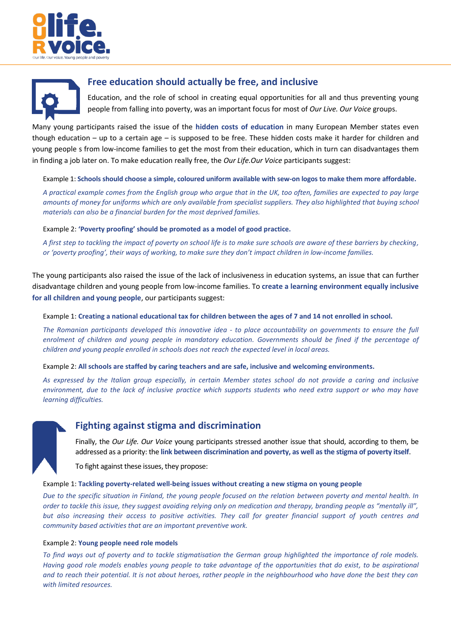



## **Free education should actually be free, and inclusive**

Education, and the role of school in creating equal opportunities for all and thus preventing young people from falling into poverty, was an important focus for most of *Our Live. Our Voice* groups.

Many young participants raised the issue of the **hidden costs of education** in many European Member states even though education – up to a certain age – is supposed to be free. These hidden costs make it harder for children and young people s from low-income families to get the most from their education, which in turn can disadvantages them in finding a job later on. To make education really free, the *Our Life.Our Voice* participants suggest:

Example 1: **Schools should choose a simple, coloured uniform available with sew-on logos to make them more affordable.**

*A practical example comes from the English group who argue that in the UK, too often, families are expected to pay large amounts of money for uniforms which are only available from specialist suppliers. They also highlighted that buying school materials can also be a financial burden for the most deprived families.* 

Example 2: **'Poverty proofing' should be promoted as a model of good practice.**

*A first step to tackling the impact of poverty on school life is to make sure schools are aware of these barriers by checking, or 'poverty proofing', their ways of working, to make sure they don't impact children in low-income families.* 

The young participants also raised the issue of the lack of inclusiveness in education systems, an issue that can further disadvantage children and young people from low-income families. To **create a learning environment equally inclusive for all children and young people**, our participants suggest:

Example 1: **Creating a national educational tax for children between the ages of 7 and 14 not enrolled in school.**

*The Romanian participants developed this innovative idea - to place accountability on governments to ensure the full enrolment of children and young people in mandatory education. Governments should be fined if the percentage of children and young people enrolled in schools does not reach the expected level in local areas.* 

Example 2: **All schools are staffed by caring teachers and are safe, inclusive and welcoming environments.**

*As expressed by the Italian group especially, in certain Member states school do not provide a caring and inclusive environment, due to the lack of inclusive practice which supports students who need extra support or who may have learning difficulties.* 



## **Fighting against stigma and discrimination**

Finally, the *Our Life. Our Voice* young participants stressed another issue that should, according to them, be addressed as a priority: the **link between discrimination and poverty, as well as the stigma of poverty itself**.

To fight against these issues, they propose:

### Example 1: **Tackling poverty-related well-being issues without creating a new stigma on young people**

*Due to the specific situation in Finland, the young people focused on the relation between poverty and mental health. In order to tackle this issue, they suggest avoiding relying only on medication and therapy, branding people as "mentally ill", but also increasing their access to positive activities. They call for greater financial support of youth centres and community based activities that are an important preventive work.*

#### Example 2: **Young people need role models**

*To find ways out of poverty and to tackle stigmatisation the German group highlighted the importance of role models. Having good role models enables young people to take advantage of the opportunities that do exist, to be aspirational and to reach their potential. It is not about heroes, rather people in the neighbourhood who have done the best they can with limited resources.*